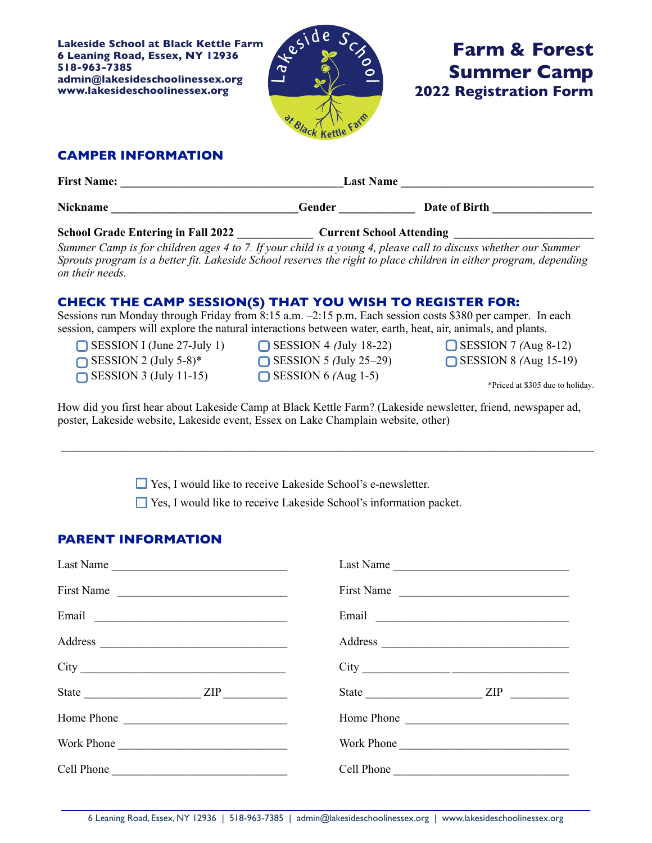**Lakeside School at Black Kettle Farm 6 Leaning Road, Essex, NY 12936 518-963-7385 admin@lakesideschoolinessex.org www.lakesideschoolinessex.org**



# **Farm & Forest Summer Camp 2022 Registration Form**

## **CAMPER INFORMATION**

| <b>First Name:</b>                        | <b>Last Name</b>                |               |  |
|-------------------------------------------|---------------------------------|---------------|--|
| <b>Nickname</b>                           | Gender                          | Date of Birth |  |
| <b>School Grade Entering in Fall 2022</b> | <b>Current School Attending</b> |               |  |

*Summer Camp is for children ages 4 to 7. If your child is a young 4, please call to discuss whether our Summer Sprouts program is a better fit. Lakeside School reserves the right to place children in either program, depending on their needs.*

#### **CHECK THE CAMP SESSION(S) THAT YOU WISH TO REGISTER FOR:**

Sessions run Monday through Friday from 8:15 a.m. –2:15 p.m. Each session costs \$380 per camper. In each session, campers will explore the natural interactions between water, earth, heat, air, animals, and plants.

SESSION I (June 27-July 1)

- $\bigcap$  SESSION 2 (July 5-8)\*
- $\bigcap$  SESSION 3 (July 11-15)

SESSION 4 *(*July 18-22) SESSION 5 *(*July 25–29) SESSION 6 *(*Aug 1-5)

SESSION 7 *(*Aug 8-12) SESSION 8 *(*Aug 15-19)

\*Priced at \$305 due to holiday.

How did you first hear about Lakeside Camp at Black Kettle Farm? (Lakeside newsletter, friend, newspaper ad, poster, Lakeside website, Lakeside event, Essex on Lake Champlain website, other)

 $\mathcal{L}_\mathcal{L} = \mathcal{L}_\mathcal{L} = \mathcal{L}_\mathcal{L} = \mathcal{L}_\mathcal{L} = \mathcal{L}_\mathcal{L} = \mathcal{L}_\mathcal{L} = \mathcal{L}_\mathcal{L} = \mathcal{L}_\mathcal{L} = \mathcal{L}_\mathcal{L} = \mathcal{L}_\mathcal{L} = \mathcal{L}_\mathcal{L} = \mathcal{L}_\mathcal{L} = \mathcal{L}_\mathcal{L} = \mathcal{L}_\mathcal{L} = \mathcal{L}_\mathcal{L} = \mathcal{L}_\mathcal{L} = \mathcal{L}_\mathcal{L}$ 

Yes, I would like to receive Lakeside School's e-newsletter.

Yes, I would like to receive Lakeside School's information packet.

### **PARENT INFORMATION**

| Last Name                                                                                                                                                                                                                      | Last Name                                                                                                                                                                                                                      |
|--------------------------------------------------------------------------------------------------------------------------------------------------------------------------------------------------------------------------------|--------------------------------------------------------------------------------------------------------------------------------------------------------------------------------------------------------------------------------|
| First Name                                                                                                                                                                                                                     | First Name                                                                                                                                                                                                                     |
| Email expression of the contract of the contract of the contract of the contract of the contract of the contract of the contract of the contract of the contract of the contract of the contract of the contract of the contra | Email experience and the contract of the second service of the service of the service of the service of the service of the service of the service of the service of the service of the service of the service of the service o |
|                                                                                                                                                                                                                                |                                                                                                                                                                                                                                |
|                                                                                                                                                                                                                                |                                                                                                                                                                                                                                |
| State $\angle$ ZIP $\angle$                                                                                                                                                                                                    | State <u>ZIP</u>                                                                                                                                                                                                               |
|                                                                                                                                                                                                                                | Home Phone                                                                                                                                                                                                                     |
| Work Phone                                                                                                                                                                                                                     | Work Phone                                                                                                                                                                                                                     |
| Cell Phone                                                                                                                                                                                                                     | Cell Phone                                                                                                                                                                                                                     |